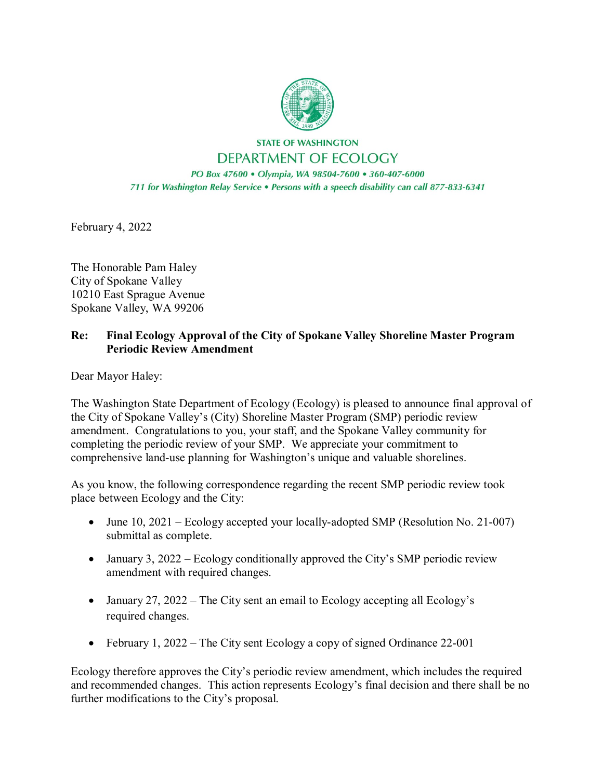

**STATE OF WASHINGTON** DEPARTMENT OF ECOLOGY

PO Box 47600 · Olympia, WA 98504-7600 · 360-407-6000 711 for Washington Relay Service . Persons with a speech disability can call 877-833-6341

February 4, 2022

The Honorable Pam Haley City of Spokane Valley 10210 East Sprague Avenue Spokane Valley, WA 99206

## **Re: Final Ecology Approval of the City of Spokane Valley Shoreline Master Program Periodic Review Amendment**

Dear Mayor Haley:

The Washington State Department of Ecology (Ecology) is pleased to announce final approval of the City of Spokane Valley's (City) Shoreline Master Program (SMP) periodic review amendment. Congratulations to you, your staff, and the Spokane Valley community for completing the periodic review of your SMP. We appreciate your commitment to comprehensive land-use planning for Washington's unique and valuable shorelines.

As you know, the following correspondence regarding the recent SMP periodic review took place between Ecology and the City:

- June 10, 2021 Ecology accepted your locally-adopted SMP (Resolution No. 21-007) submittal as complete.
- January 3, 2022 Ecology conditionally approved the City's SMP periodic review amendment with required changes.
- January 27, 2022 The City sent an email to Ecology accepting all Ecology's required changes.
- February 1, 2022 The City sent Ecology a copy of signed Ordinance 22-001

Ecology therefore approves the City's periodic review amendment, which includes the required and recommended changes. This action represents Ecology's final decision and there shall be no further modifications to the City's proposal.